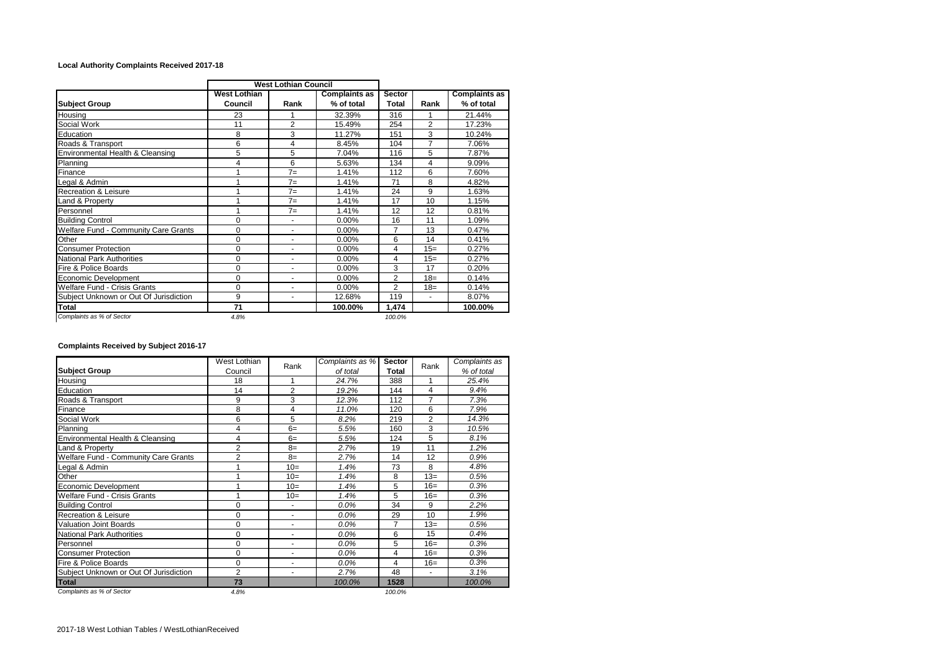## **Local Authority Complaints Received 2017-18**

|                                        | <b>West Lothian Council</b>    |                      |                                    |                 |                |                                    |
|----------------------------------------|--------------------------------|----------------------|------------------------------------|-----------------|----------------|------------------------------------|
| <b>Subject Group</b>                   | <b>West Lothian</b><br>Council | Rank                 | <b>Complaints as</b><br>% of total | Sector<br>Total | Rank           | <b>Complaints as</b><br>% of total |
| Housing                                | 23                             |                      | 32.39%                             | 316             |                | 21.44%                             |
| Social Work                            | 11                             | $\overline{2}$       | 15.49%                             | 254             | $\overline{2}$ | 17.23%                             |
| Education                              | 8                              | 3                    | 11.27%                             | 151             | 3              | 10.24%                             |
| Roads & Transport                      | 6                              | 4                    | 8.45%                              | 104             | $\overline{7}$ | 7.06%                              |
| Environmental Health & Cleansing       | 5                              | 5                    | 7.04%                              | 116             | 5              | 7.87%                              |
| Planning                               | 4                              | 6                    | 5.63%                              | 134             | 4              | 9.09%                              |
| Finance                                |                                | $7=$                 | 1.41%                              | 112             | 6              | 7.60%                              |
| Legal & Admin                          |                                | $7=$                 | 1.41%                              | 71              | 8              | 4.82%                              |
| Recreation & Leisure                   |                                | $7=$                 | 1.41%                              | 24              | 9              | 1.63%                              |
| Land & Property                        |                                | $7=$                 | 1.41%                              | 17              | 10             | 1.15%                              |
| Personnel                              | 1                              | $7=$                 | 1.41%                              | 12              | 12             | 0.81%                              |
| <b>Building Control</b>                | 0                              |                      | $0.00\%$                           | 16              | 11             | 1.09%                              |
| Welfare Fund - Community Care Grants   | 0                              | ٠                    | 0.00%                              | $\overline{7}$  | 13             | 0.47%                              |
| Other                                  | 0                              |                      | 0.00%                              | 6               | 14             | 0.41%                              |
| <b>Consumer Protection</b>             | 0                              | ٠                    | 0.00%                              | 4               | $15=$          | 0.27%                              |
| <b>National Park Authorities</b>       | 0                              | ٠                    | $0.00\%$                           | 4               | $15=$          | 0.27%                              |
| Fire & Police Boards                   | 0                              | $\ddot{\phantom{1}}$ | 0.00%                              | 3               | 17             | 0.20%                              |
| Economic Development                   | $\Omega$                       | ٠                    | 0.00%                              | $\overline{2}$  | $18=$          | 0.14%                              |
| <b>Welfare Fund - Crisis Grants</b>    | 0                              | ٠                    | 0.00%                              | $\overline{2}$  | $18=$          | 0.14%                              |
| Subject Unknown or Out Of Jurisdiction | 9                              | ٠                    | 12.68%                             | 119             | ٠              | 8.07%                              |
| Total                                  | 71                             |                      | 100.00%                            | 1,474           |                | 100.00%                            |
| Complaints as % of Sector              | 4.8%                           |                      |                                    | 100.0%          |                |                                    |

**Complaints Received by Subject 2016-17**

|                                        | West Lothian   |                | Complaints as % |                |                | Complaints as |  |
|----------------------------------------|----------------|----------------|-----------------|----------------|----------------|---------------|--|
| <b>Subject Group</b>                   | Council        | Rank           | of total        | Total          | Rank           | % of total    |  |
| Housing                                | 18             |                | 24.7%           | 388            | 1              | 25.4%         |  |
| Education                              | 14             | $\overline{2}$ | 19.2%           | 144            | 4              | 9.4%          |  |
| Roads & Transport                      | 9              | 3              | 12.3%           | 112            | 7              | 7.3%          |  |
| Finance                                | 8              | 4              | 11.0%           | 120            | 6              | 7.9%          |  |
| Social Work                            | 6              | 5              | 8.2%            | 219            | $\overline{2}$ | 14.3%         |  |
| Planning                               | 4              | $6=$           | 5.5%            | 160            | 3              | 10.5%         |  |
| Environmental Health & Cleansing       | 4              | $6=$           | 5.5%            | 124            | 5              | 8.1%          |  |
| Land & Property                        | $\overline{2}$ | $8=$           | 2.7%            | 19             | 11             | 1.2%          |  |
| Welfare Fund - Community Care Grants   | $\overline{2}$ | $8=$           | 2.7%            | 14             | 12             | 0.9%          |  |
| Legal & Admin                          |                | $10=$          | 1.4%            | 73             | 8              | 4.8%          |  |
| Other                                  |                | $10=$          | 1.4%            | 8              | $13=$          | 0.5%          |  |
| Economic Development                   |                | $10=$          | 1.4%            | 5              | $16=$          | 0.3%          |  |
| Welfare Fund - Crisis Grants           |                | $10=$          | 1.4%            | 5              | $16=$          | 0.3%          |  |
| <b>Building Control</b>                | 0              |                | 0.0%            | 34             | 9              | 2.2%          |  |
| <b>Recreation &amp; Leisure</b>        | 0              | ٠              | 0.0%            | 29             | 10             | 1.9%          |  |
| <b>Valuation Joint Boards</b>          | 0              | ٠              | 0.0%            | $\overline{7}$ | $13=$          | 0.5%          |  |
| <b>National Park Authorities</b>       | 0              | ٠              | 0.0%            | 6              | 15             | 0.4%          |  |
| Personnel                              | 0              | ٠              | 0.0%            | 5              | $16=$          | 0.3%          |  |
| <b>Consumer Protection</b>             | 0              | ٠              | 0.0%            | 4              | $16=$          | 0.3%          |  |
| Fire & Police Boards                   | 0              | ٠              | $0.0\%$         | 4              | $16=$          | 0.3%          |  |
| Subject Unknown or Out Of Jurisdiction | $\overline{2}$ | ۰              | 2.7%            | 48             | ä,             | 3.1%          |  |
| <b>Total</b>                           | 73             |                | 100.0%          | 1528           |                | 100.0%        |  |
| Complaints as % of Sector              | 4.8%           |                |                 | 100.0%         |                |               |  |